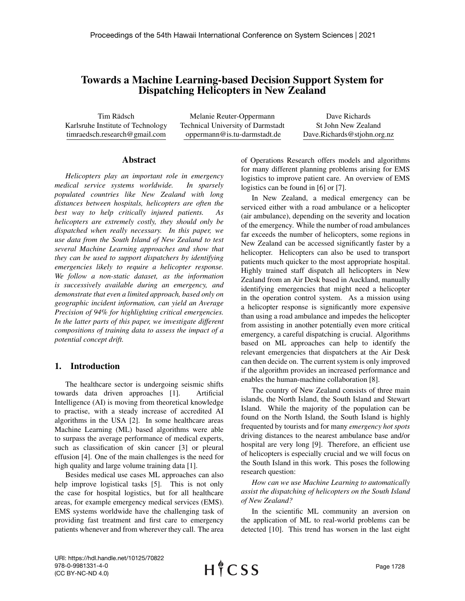# Towards a Machine Learning-based Decision Support System for Dispatching Helicopters in New Zealand

Tim Rädsch Karlsruhe Institute of Technology timraedsch.research@gmail.com

Melanie Reuter-Oppermann Technical University of Darmstadt oppermann@is.tu-darmstadt.de

Dave Richards St John New Zealand Dave.Richards@stjohn.org.nz

#### Abstract

*Helicopters play an important role in emergency medical service systems worldwide. In sparsely populated countries like New Zealand with long distances between hospitals, helicopters are often the best way to help critically injured patients. As helicopters are extremely costly, they should only be dispatched when really necessary. In this paper, we use data from the South Island of New Zealand to test several Machine Learning approaches and show that they can be used to support dispatchers by identifying emergencies likely to require a helicopter response. We follow a non-static dataset, as the information is successively available during an emergency, and demonstrate that even a limited approach, based only on geographic incident information, can yield an Average Precision of 94% for highlighting critical emergencies. In the latter parts of this paper, we investigate different compositions of training data to assess the impact of a potential concept drift.*

### 1. Introduction

The healthcare sector is undergoing seismic shifts towards data driven approaches [1]. Artificial Intelligence (AI) is moving from theoretical knowledge to practise, with a steady increase of accredited AI algorithms in the USA [2]. In some healthcare areas Machine Learning (ML) based algorithms were able to surpass the average performance of medical experts, such as classification of skin cancer [3] or pleural effusion [4]. One of the main challenges is the need for high quality and large volume training data [1].

Besides medical use cases ML approaches can also help improve logistical tasks [5]. This is not only the case for hospital logistics, but for all healthcare areas, for example emergency medical services (EMS). EMS systems worldwide have the challenging task of providing fast treatment and first care to emergency patients whenever and from wherever they call. The area of Operations Research offers models and algorithms for many different planning problems arising for EMS logistics to improve patient care. An overview of EMS logistics can be found in [6] or [7].

In New Zealand, a medical emergency can be serviced either with a road ambulance or a helicopter (air ambulance), depending on the severity and location of the emergency. While the number of road ambulances far exceeds the number of helicopters, some regions in New Zealand can be accessed significantly faster by a helicopter. Helicopters can also be used to transport patients much quicker to the most appropriate hospital. Highly trained staff dispatch all helicopters in New Zealand from an Air Desk based in Auckland, manually identifying emergencies that might need a helicopter in the operation control system. As a mission using a helicopter response is significantly more expensive than using a road ambulance and impedes the helicopter from assisting in another potentially even more critical emergency, a careful dispatching is crucial. Algorithms based on ML approaches can help to identify the relevant emergencies that dispatchers at the Air Desk can then decide on. The current system is only improved if the algorithm provides an increased performance and enables the human-machine collaboration [8].

The country of New Zealand consists of three main islands, the North Island, the South Island and Stewart Island. While the majority of the population can be found on the North Island, the South Island is highly frequented by tourists and for many *emergency hot spots* driving distances to the nearest ambulance base and/or hospital are very long [9]. Therefore, an efficient use of helicopters is especially crucial and we will focus on the South Island in this work. This poses the following research question:

*How can we use Machine Learning to automatically assist the dispatching of helicopters on the South Island of New Zealand?*

In the scientific ML community an aversion on the application of ML to real-world problems can be detected [10]. This trend has worsen in the last eight

URI: https://hdl.handle.net/10125/70822 978-0-9981331-4-0 (CC BY-NC-ND 4.0)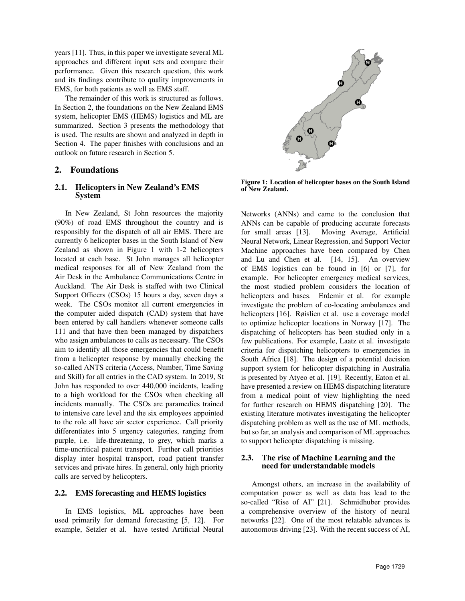years [11]. Thus, in this paper we investigate several ML approaches and different input sets and compare their performance. Given this research question, this work and its findings contribute to quality improvements in EMS, for both patients as well as EMS staff.

The remainder of this work is structured as follows. In Section 2, the foundations on the New Zealand EMS system, helicopter EMS (HEMS) logistics and ML are summarized. Section 3 presents the methodology that is used. The results are shown and analyzed in depth in Section 4. The paper finishes with conclusions and an outlook on future research in Section 5.

## 2. Foundations

### 2.1. Helicopters in New Zealand's EMS System

In New Zealand, St John resources the majority (90%) of road EMS throughout the country and is responsibly for the dispatch of all air EMS. There are currently 6 helicopter bases in the South Island of New Zealand as shown in Figure 1 with 1-2 helicopters located at each base. St John manages all helicopter medical responses for all of New Zealand from the Air Desk in the Ambulance Communications Centre in Auckland. The Air Desk is staffed with two Clinical Support Officers (CSOs) 15 hours a day, seven days a week. The CSOs monitor all current emergencies in the computer aided dispatch (CAD) system that have been entered by call handlers whenever someone calls 111 and that have then been managed by dispatchers who assign ambulances to calls as necessary. The CSOs aim to identify all those emergencies that could benefit from a helicopter response by manually checking the so-called ANTS criteria (Access, Number, Time Saving and Skill) for all entries in the CAD system. In 2019, St John has responded to over 440,000 incidents, leading to a high workload for the CSOs when checking all incidents manually. The CSOs are paramedics trained to intensive care level and the six employees appointed to the role all have air sector experience. Call priority differentiates into 5 urgency categories, ranging from purple, i.e. life-threatening, to grey, which marks a time-uncritical patient transport. Further call priorities display inter hospital transport, road patient transfer services and private hires. In general, only high priority calls are served by helicopters.

### 2.2. EMS forecasting and HEMS logistics

In EMS logistics, ML approaches have been used primarily for demand forecasting [5, 12]. For example, Setzler et al. have tested Artificial Neural



Figure 1: Location of helicopter bases on the South Island of New Zealand.

Networks (ANNs) and came to the conclusion that ANNs can be capable of producing accurate forecasts for small areas [13]. Moving Average, Artificial Neural Network, Linear Regression, and Support Vector Machine approaches have been compared by Chen and Lu and Chen et al. [14, 15]. An overview of EMS logistics can be found in [6] or [7], for example. For helicopter emergency medical services, the most studied problem considers the location of helicopters and bases. Erdemir et al. for example investigate the problem of co-locating ambulances and helicopters [16]. Røislien et al. use a coverage model to optimize helicopter locations in Norway [17]. The dispatching of helicopters has been studied only in a few publications. For example, Laatz et al. investigate criteria for dispatching helicopters to emergencies in South Africa [18]. The design of a potential decision support system for helicopter dispatching in Australia is presented by Atyeo et al. [19]. Recently, Eaton et al. have presented a review on HEMS dispatching literature from a medical point of view highlighting the need for further research on HEMS dispatching [20]. The existing literature motivates investigating the helicopter dispatching problem as well as the use of ML methods, but so far, an analysis and comparison of ML approaches to support helicopter dispatching is missing.

### 2.3. The rise of Machine Learning and the need for understandable models

Amongst others, an increase in the availability of computation power as well as data has lead to the so-called "Rise of AI" [21]. Schmidhuber provides a comprehensive overview of the history of neural networks [22]. One of the most relatable advances is autonomous driving [23]. With the recent success of AI,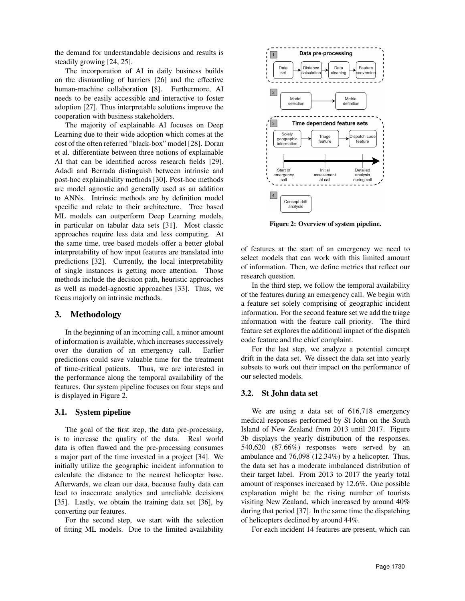the demand for understandable decisions and results is steadily growing [24, 25].

The incorporation of AI in daily business builds on the dismantling of barriers [26] and the effective human-machine collaboration [8]. Furthermore, AI needs to be easily accessible and interactive to foster adoption [27]. Thus interpretable solutions improve the cooperation with business stakeholders.

The majority of explainable AI focuses on Deep Learning due to their wide adoption which comes at the cost of the often referred "black-box" model [28]. Doran et al. differentiate between three notions of explainable AI that can be identified across research fields [29]. Adadi and Berrada distinguish between intrinsic and post-hoc explainability methods [30]. Post-hoc methods are model agnostic and generally used as an addition to ANNs. Intrinsic methods are by definition model specific and relate to their architecture. Tree based ML models can outperform Deep Learning models, in particular on tabular data sets [31]. Most classic approaches require less data and less computing. At the same time, tree based models offer a better global interpretability of how input features are translated into predictions [32]. Currently, the local interpretability of single instances is getting more attention. Those methods include the decision path, heuristic approaches as well as model-agnostic approaches [33]. Thus, we focus majorly on intrinsic methods.

## 3. Methodology

In the beginning of an incoming call, a minor amount of information is available, which increases successively over the duration of an emergency call. Earlier predictions could save valuable time for the treatment of time-critical patients. Thus, we are interested in the performance along the temporal availability of the features. Our system pipeline focuses on four steps and is displayed in Figure 2.

## 3.1. System pipeline

The goal of the first step, the data pre-processing, is to increase the quality of the data. Real world data is often flawed and the pre-processing consumes a major part of the time invested in a project [34]. We initially utilize the geographic incident information to calculate the distance to the nearest helicopter base. Afterwards, we clean our data, because faulty data can lead to inaccurate analytics and unreliable decisions [35]. Lastly, we obtain the training data set [36], by converting our features.

For the second step, we start with the selection of fitting ML models. Due to the limited availability



Figure 2: Overview of system pipeline.

of features at the start of an emergency we need to select models that can work with this limited amount of information. Then, we define metrics that reflect our research question.

In the third step, we follow the temporal availability of the features during an emergency call. We begin with a feature set solely comprising of geographic incident information. For the second feature set we add the triage information with the feature call priority. The third feature set explores the additional impact of the dispatch code feature and the chief complaint.

For the last step, we analyze a potential concept drift in the data set. We dissect the data set into yearly subsets to work out their impact on the performance of our selected models.

## 3.2. St John data set

We are using a data set of 616,718 emergency medical responses performed by St John on the South Island of New Zealand from 2013 until 2017. Figure 3b displays the yearly distribution of the responses. 540,620 (87.66%) responses were served by an ambulance and 76,098 (12.34%) by a helicopter. Thus, the data set has a moderate imbalanced distribution of their target label. From 2013 to 2017 the yearly total amount of responses increased by 12.6%. One possible explanation might be the rising number of tourists visiting New Zealand, which increased by around 40% during that period [37]. In the same time the dispatching of helicopters declined by around 44%.

For each incident 14 features are present, which can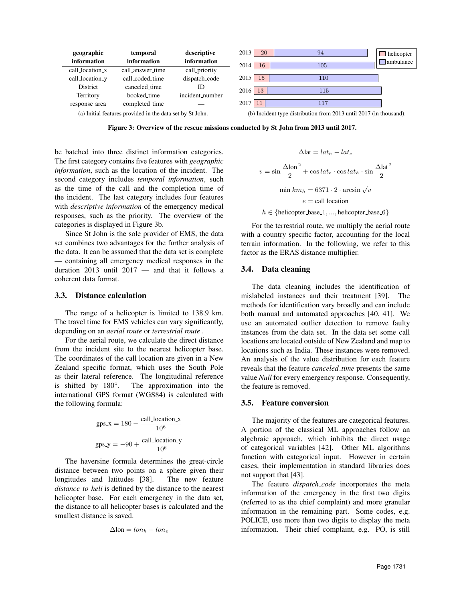

Figure 3: Overview of the rescue missions conducted by St John from 2013 until 2017.

be batched into three distinct information categories. The first category contains five features with *geographic information*, such as the location of the incident. The second category includes *temporal information*, such as the time of the call and the completion time of the incident. The last category includes four features with *descriptive information* of the emergency medical responses, such as the priority. The overview of the categories is displayed in Figure 3b.

Since St John is the sole provider of EMS, the data set combines two advantages for the further analysis of the data. It can be assumed that the data set is complete — containing all emergency medical responses in the duration 2013 until 2017 — and that it follows a coherent data format.

#### 3.3. Distance calculation

The range of a helicopter is limited to 138.9 km. The travel time for EMS vehicles can vary significantly, depending on an *aerial route* or *terrestrial route* .

For the aerial route, we calculate the direct distance from the incident site to the nearest helicopter base. The coordinates of the call location are given in a New Zealand specific format, which uses the South Pole as their lateral reference. The longitudinal reference is shifted by  $180^\circ$ . . The approximation into the international GPS format (WGS84) is calculated with the following formula:

$$
gps.x = 180 - \frac{call\_location.x}{10^6}
$$

$$
gps.y = -90 + \frac{call\_location.y}{10^6}
$$

The haversine formula determines the great-circle distance between two points on a sphere given their longitudes and latitudes [38]. The new feature *distance to heli* is defined by the distance to the nearest helicopter base. For each emergency in the data set, the distance to all helicopter bases is calculated and the smallest distance is saved.

$$
\Delta \text{lon} = \text{lon}_h - \text{lon}_e
$$

$$
\Delta \text{lat} = lat_h - lat_e
$$

$$
v = \sin \frac{\Delta \text{lon}^2}{2} + \cos lat_e \cdot \cos lat_h \cdot \sin \frac{\Delta \text{lat}^2}{2}
$$

$$
\text{min } km_h = 6371 \cdot 2 \cdot \arcsin \sqrt{v}
$$

$$
e = \text{call location}
$$

$$
h \in \{\text{helicopter} \text{-base} \_1, \dots, \text{helicopter} \_\text{base} \_6\}
$$

For the terrestrial route, we multiply the aerial route with a country specific factor, accounting for the local terrain information. In the following, we refer to this factor as the ERAS distance multiplier.

#### 3.4. Data cleaning

The data cleaning includes the identification of mislabeled instances and their treatment [39]. The methods for identification vary broadly and can include both manual and automated approaches [40, 41]. We use an automated outlier detection to remove faulty instances from the data set. In the data set some call locations are located outside of New Zealand and map to locations such as India. These instances were removed. An analysis of the value distribution for each feature reveals that the feature *canceled time* presents the same value *Null* for every emergency response. Consequently, the feature is removed.

#### 3.5. Feature conversion

The majority of the features are categorical features. A portion of the classical ML approaches follow an algebraic approach, which inhibits the direct usage of categorical variables [42]. Other ML algorithms function with categorical input. However in certain cases, their implementation in standard libraries does not support that [43].

The feature *dispatch code* incorporates the meta information of the emergency in the first two digits (referred to as the chief complaint) and more granular information in the remaining part. Some codes, e.g. POLICE, use more than two digits to display the meta information. Their chief complaint, e.g. PO, is still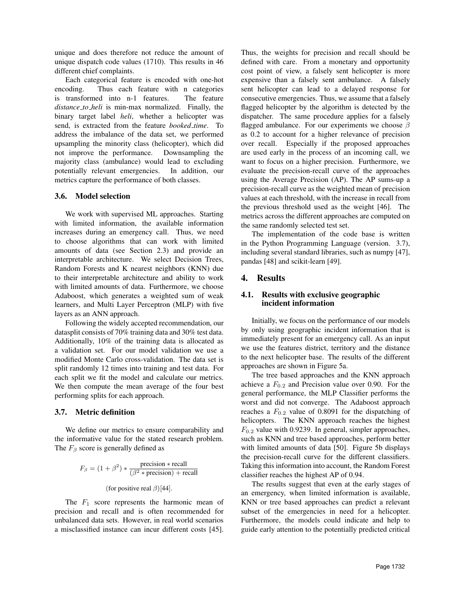unique and does therefore not reduce the amount of unique dispatch code values (1710). This results in 46 different chief complaints.

Each categorical feature is encoded with one-hot encoding. Thus each feature with n categories is transformed into n-1 features. The feature *distance to heli* is min-max normalized. Finally, the binary target label *heli*, whether a helicopter was send, is extracted from the feature *booked time*. To address the imbalance of the data set, we performed upsampling the minority class (helicopter), which did not improve the performance. Downsampling the majority class (ambulance) would lead to excluding potentially relevant emergencies. In addition, our metrics capture the performance of both classes.

### 3.6. Model selection

We work with supervised ML approaches. Starting with limited information, the available information increases during an emergency call. Thus, we need to choose algorithms that can work with limited amounts of data (see Section 2.3) and provide an interpretable architecture. We select Decision Trees, Random Forests and K nearest neighbors (KNN) due to their interpretable architecture and ability to work with limited amounts of data. Furthermore, we choose Adaboost, which generates a weighted sum of weak learners, and Multi Layer Perceptron (MLP) with five layers as an ANN approach.

Following the widely accepted recommendation, our datasplit consists of 70% training data and 30% test data. Additionally, 10% of the training data is allocated as a validation set. For our model validation we use a modified Monte Carlo cross-validation. The data set is split randomly 12 times into training and test data. For each split we fit the model and calculate our metrics. We then compute the mean average of the four best performing splits for each approach.

### 3.7. Metric definition

We define our metrics to ensure comparability and the informative value for the stated research problem. The  $F_\beta$  score is generally defined as

$$
F_{\beta} = (1 + \beta^2) * \frac{\text{precision} * \text{recall}}{(\beta^2 * \text{precision}) + \text{recall}}
$$

(for positive real  $\beta$ )[44].

The  $F_1$  score represents the harmonic mean of precision and recall and is often recommended for unbalanced data sets. However, in real world scenarios a misclassified instance can incur different costs [45].

Thus, the weights for precision and recall should be defined with care. From a monetary and opportunity cost point of view, a falsely sent helicopter is more expensive than a falsely sent ambulance. A falsely sent helicopter can lead to a delayed response for consecutive emergencies. Thus, we assume that a falsely flagged helicopter by the algorithm is detected by the dispatcher. The same procedure applies for a falsely flagged ambulance. For our experiments we choose  $\beta$ as 0.2 to account for a higher relevance of precision over recall. Especially if the proposed approaches are used early in the process of an incoming call, we want to focus on a higher precision. Furthermore, we evaluate the precision-recall curve of the approaches using the Average Precision (AP). The AP sums-up a precision-recall curve as the weighted mean of precision values at each threshold, with the increase in recall from the previous threshold used as the weight [46]. The metrics across the different approaches are computed on the same randomly selected test set.

The implementation of the code base is written in the Python Programming Language (version. 3.7), including several standard libraries, such as numpy [47], pandas [48] and scikit-learn [49].

# 4. Results

### 4.1. Results with exclusive geographic incident information

Initially, we focus on the performance of our models by only using geographic incident information that is immediately present for an emergency call. As an input we use the features district, territory and the distance to the next helicopter base. The results of the different approaches are shown in Figure 5a.

The tree based approaches and the KNN approach achieve a  $F_{0.2}$  and Precision value over 0.90. For the general performance, the MLP Classifier performs the worst and did not converge. The Adaboost approach reaches a  $F_{0.2}$  value of 0.8091 for the dispatching of helicopters. The KNN approach reaches the highest  $F_{0.2}$  value with 0.9239. In general, simpler approaches, such as KNN and tree based approaches, perform better with limited amounts of data [50]. Figure 5b displays the precision-recall curve for the different classifiers. Taking this information into account, the Random Forest classifier reaches the highest AP of 0.94.

The results suggest that even at the early stages of an emergency, when limited information is available, KNN or tree based approaches can predict a relevant subset of the emergencies in need for a helicopter. Furthermore, the models could indicate and help to guide early attention to the potentially predicted critical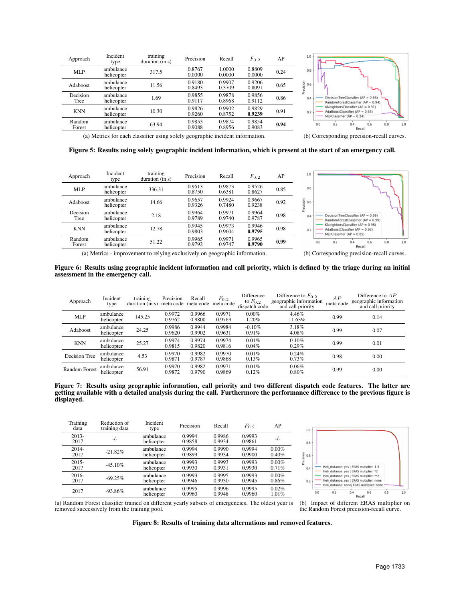| Approach         | Incident<br>type        | training<br>duration (in s) | Precision        | Recall           | $F_{0.2}$        | AP   |
|------------------|-------------------------|-----------------------------|------------------|------------------|------------------|------|
| <b>MLP</b>       | ambulance<br>helicopter | 317.5                       | 0.8767<br>0.0000 | 1.0000<br>0.0000 | 0.8809<br>0.0000 | 0.24 |
| Adaboost         | ambulance<br>helicopter | 11.56                       | 0.9180<br>0.8493 | 0.9907<br>0.3709 | 0.9206<br>0.8091 | 0.65 |
| Decision<br>Tree | ambulance<br>helicopter | 1.69                        | 0.9855<br>0.9117 | 0.9878<br>0.8968 | 0.9856<br>0.9112 | 0.86 |
| <b>KNN</b>       | ambulance<br>helicopter | 10.30                       | 0.9826<br>0.9260 | 0.9902<br>0.8752 | 0.9829<br>0.9239 | 0.91 |
| Random<br>Forest | ambulance<br>helicopter | 63.94                       | 0.9853<br>0.9088 | 0.9874<br>0.8956 | 0.9854<br>0.9083 | 0.94 |
|                  |                         |                             |                  |                  |                  |      |



(a) Metrics for each classifier using solely geographic incident information. (b) Corresponding precision-recall curves.

Figure 5: Results using solely geographic incident information, which is present at the start of an emergency call.

| Approach         | Incident<br>type        | training<br>duration (in s) | Precision        | Recall           | $F_{0.2}$        | AP   |
|------------------|-------------------------|-----------------------------|------------------|------------------|------------------|------|
| MLP              | ambulance<br>helicopter | 336.31                      | 0.9513<br>0.8750 | 0.9873<br>0.6381 | 0.9526<br>0.8627 | 0.85 |
| Adaboost         | ambulance<br>helicopter | 14.66                       | 0.9657<br>0.9326 | 0.9924<br>0.7480 | 0.9667<br>0.9238 | 0.92 |
| Decision<br>Tree | ambulance<br>helicopter | 2.18                        | 0.9964<br>0.9789 | 0.9971<br>0.9740 | 0.9964<br>0.9787 | 0.98 |
| <b>KNN</b>       | ambulance<br>helicopter | 12.78                       | 0.9945<br>0.9803 | 0.9973<br>0.9604 | 0.9946<br>0.9795 | 0.98 |
| Random<br>Forest | ambulance<br>helicopter | 51.22                       | 0.9965<br>0.9792 | 0.9971<br>0.9747 | 0.9965<br>0.9790 | 0.99 |
|                  |                         |                             |                  |                  |                  |      |



(a) Metrics - improvement to relying exclusively on geographic information. (b) Corresponding precision-recall curves.

Figure 6: Results using geographic incident information and call priority, which is defined by the triage during an initial assessment in the emergency call.

| Approach             | Incident<br>type        | training<br>duration (in s) | Precision<br>meta code | Recall<br>meta code | $F_{0,2}$<br>meta code | Difference<br>to $F_{0.2}$<br>dispatch code | Difference to $F_{0,2}$<br>geographic information<br>and call priority | AP<br>meta code | Difference to $AP$<br>geographic information<br>and call priority |
|----------------------|-------------------------|-----------------------------|------------------------|---------------------|------------------------|---------------------------------------------|------------------------------------------------------------------------|-----------------|-------------------------------------------------------------------|
| <b>MLP</b>           | ambulance<br>helicopter | 145.25                      | 0.9972<br>0.9762       | 0.9966<br>0.9800    | 0.9971<br>0.9763       | $0.00\%$<br>1.20%                           | 4.46%<br>11.63%                                                        | 0.99            | 0.14                                                              |
| Adaboost             | ambulance<br>helicopter | 24.25                       | 0.9986<br>0.9620       | 0.9944<br>0.9902    | 0.9984<br>0.9631       | $-0.10%$<br>0.91%                           | 3.18%<br>4.08%                                                         | 0.99            | 0.07                                                              |
| <b>KNN</b>           | ambulance<br>helicopter | 25.27                       | 0.9974<br>0.9815       | 0.9974<br>0.9820    | 0.9974<br>0.9816       | 0.01%<br>0.04%                              | 0.10%<br>$0.29\%$                                                      | 0.99            | 0.01                                                              |
| Decision Tree        | ambulance<br>helicopter | 4.53                        | 0.9970<br>0.9871       | 0.9982<br>0.9787    | 0.9970<br>0.9868       | 0.01%<br>0.13%                              | 0.24%<br>0.73%                                                         | 0.98            | 0.00                                                              |
| <b>Random Forest</b> | ambulance<br>helicopter | 56.91                       | 0.9970<br>0.9872       | 0.9982<br>0.9790    | 0.9971<br>0.9869       | 0.01%<br>0.12%                              | 0.06%<br>0.80%                                                         | 0.99            | 0.00                                                              |

Figure 7: Results using geographic information, call priority and two different dispatch code features. The latter are getting available with a detailed analysis during the call. Furthermore the performance difference to the previous figure is displayed.

| Training<br>data | Reduction of<br>training data | Incident<br>type        | Precision        | Recall           | $F_{0.2}$        | AP                |
|------------------|-------------------------------|-------------------------|------------------|------------------|------------------|-------------------|
| $2013-$<br>2017  | $-/-$                         | ambulance<br>helicopter | 0.9994<br>0.9858 | 0.9986<br>0.9934 | 0.9993<br>0.9861 | $-/-$             |
| $2014 -$         | $-21.82%$                     | ambulance               | 0.9994           | 0.9990           | 0.9994           | $0.00\%$          |
| 2017             |                               | helicopter              | 0.9899           | 0.9934           | 0.9900           | 0.40%             |
| $2015 -$         | $-45.10%$                     | ambulance               | 0.9993           | 0.9993           | 0.9993           | $0.00\%$          |
| 2017             |                               | helicopter              | 0.9930           | 0.9931           | 0.9930           | 0.71%             |
| $2016 -$         | $-69.25%$                     | ambulance               | 0.9993           | 0.9995           | 0.9993           | $0.00\%$          |
| 2017             |                               | helicopter              | 0.9946           | 0.9930           | 0.9945           | $0.86\%$          |
| 2017             | $-93.86%$                     | ambulance<br>helicopter | 0.9995<br>0.9960 | 0.9996<br>0.9948 | 0.9995<br>0.9960 | 0.02%<br>$1.01\%$ |

removed successively from the training pool.



(a) Random Forest classifier trained on different yearly subsets of emergencies. The oldest year is (b) Impact of different ERAS multiplier on the Random Forest precision-recall curve.

Figure 8: Results of training data alternations and removed features.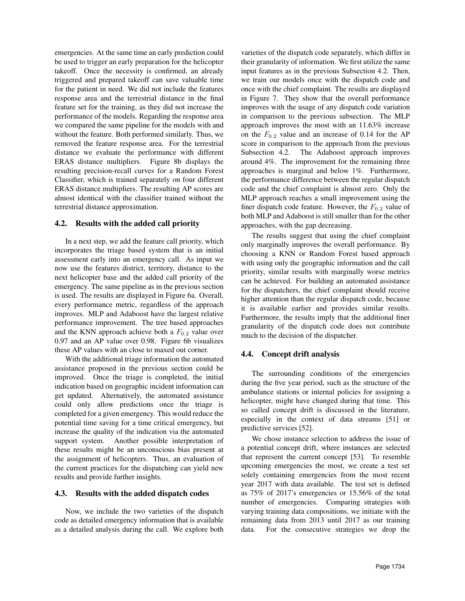emergencies. At the same time an early prediction could be used to trigger an early preparation for the helicopter takeoff. Once the necessity is confirmed, an already triggered and prepared takeoff can save valuable time for the patient in need. We did not include the features response area and the terrestrial distance in the final feature set for the training, as they did not increase the performance of the models. Regarding the response area we compared the same pipeline for the models with and without the feature. Both performed similarly. Thus, we removed the feature response area. For the terrestrial distance we evaluate the performance with different ERAS distance multipliers. Figure 8b displays the resulting precision-recall curves for a Random Forest Classifier, which is trained separately on four different ERAS distance multipliers. The resulting AP scores are almost identical with the classifier trained without the terrestrial distance approximation.

### 4.2. Results with the added call priority

In a next step, we add the feature call priority, which incorporates the triage based system that is an initial assessment early into an emergency call. As input we now use the features district, territory, distance to the next helicopter base and the added call priority of the emergency. The same pipeline as in the previous section is used. The results are displayed in Figure 6a. Overall, every performance metric, regardless of the approach improves. MLP and Adaboost have the largest relative performance improvement. The tree based approaches and the KNN approach achieve both a  $F_{0.2}$  value over 0.97 and an AP value over 0.98. Figure 6b visualizes these AP values with an close to maxed out corner.

With the additional triage information the automated assistance proposed in the previous section could be improved. Once the triage is completed, the initial indication based on geographic incident information can get updated. Alternatively, the automated assistance could only allow predictions once the triage is completed for a given emergency. This would reduce the potential time saving for a time critical emergency, but increase the quality of the indication via the automated support system. Another possible interpretation of these results might be an unconscious bias present at the assignment of helicopters. Thus, an evaluation of the current practices for the dispatching can yield new results and provide further insights.

### 4.3. Results with the added dispatch codes

Now, we include the two varieties of the dispatch code as detailed emergency information that is available as a detailed analysis during the call. We explore both varieties of the dispatch code separately, which differ in their granularity of information. We first utilize the same input features as in the previous Subsection 4.2. Then, we train our models once with the dispatch code and once with the chief complaint. The results are displayed in Figure 7. They show that the overall performance improves with the usage of any dispatch code variation in comparison to the previous subsection. The MLP approach improves the most with an 11.63% increase on the  $F_{0,2}$  value and an increase of 0.14 for the AP score in comparison to the approach from the previous Subsection 4.2. The Adaboost approach improves around 4%. The improvement for the remaining three approaches is marginal and below 1%. Furthermore, the performance difference between the regular dispatch code and the chief complaint is almost zero. Only the MLP approach reaches a small improvement using the finer dispatch code feature. However, the  $F_{0.2}$  value of both MLP and Adaboost is still smaller than for the other approaches, with the gap decreasing.

The results suggest that using the chief complaint only marginally improves the overall performance. By choosing a KNN or Random Forest based approach with using only the geographic information and the call priority, similar results with marginally worse metrics can be achieved. For building an automated assistance for the dispatchers, the chief complaint should receive higher attention than the regular dispatch code, because it is available earlier and provides similar results. Furthermore, the results imply that the additional finer granularity of the dispatch code does not contribute much to the decision of the dispatcher.

### 4.4. Concept drift analysis

The surrounding conditions of the emergencies during the five year period, such as the structure of the ambulance stations or internal policies for assigning a helicopter, might have changed during that time. This so called concept drift is discussed in the literature, especially in the context of data streams [51] or predictive services [52].

We chose instance selection to address the issue of a potential concept drift, where instances are selected that represent the current concept [53]. To resemble upcoming emergencies the most, we create a test set solely containing emergencies from the most recent year 2017 with data available. The test set is defined as 75% of 2017's emergencies or 15.56% of the total number of emergencies. Comparing strategies with varying training data compositions, we initiate with the remaining data from 2013 until 2017 as our training data. For the consecutive strategies we drop the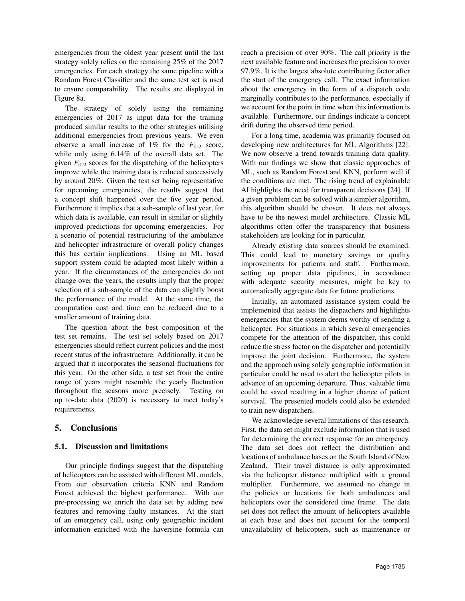emergencies from the oldest year present until the last strategy solely relies on the remaining 25% of the 2017 emergencies. For each strategy the same pipeline with a Random Forest Classifier and the same test set is used to ensure comparability. The results are displayed in Figure 8a.

The strategy of solely using the remaining emergencies of 2017 as input data for the training produced similar results to the other strategies utilising additional emergencies from previous years. We even observe a small increase of 1% for the  $F_{0.2}$  score, while only using 6.14% of the overall data set. The given  $F_{0,2}$  scores for the dispatching of the helicopters improve while the training data is reduced successively by around 20%. Given the test set being representative for upcoming emergencies, the results suggest that a concept shift happened over the five year period. Furthermore it implies that a sub-sample of last year, for which data is available, can result in similar or slightly improved predictions for upcoming emergencies. For a scenario of potential restructuring of the ambulance and helicopter infrastructure or overall policy changes this has certain implications. Using an ML based support system could be adapted most likely within a year. If the circumstances of the emergencies do not change over the years, the results imply that the proper selection of a sub-sample of the data can slightly boost the performance of the model. At the same time, the computation cost and time can be reduced due to a smaller amount of training data.

The question about the best composition of the test set remains. The test set solely based on 2017 emergencies should reflect current policies and the most recent status of the infrastructure. Additionally, it can be argued that it incorporates the seasonal fluctuations for this year. On the other side, a test set from the entire range of years might resemble the yearly fluctuation throughout the seasons more precisely. Testing on up to-date data (2020) is necessary to meet today's requirements.

## 5. Conclusions

## 5.1. Discussion and limitations

Our principle findings suggest that the dispatching of helicopters can be assisted with different ML models. From our observation criteria KNN and Random Forest achieved the highest performance. With our pre-processing we enrich the data set by adding new features and removing faulty instances. At the start of an emergency call, using only geographic incident information enriched with the haversine formula can reach a precision of over 90%. The call priority is the next available feature and increases the precision to over 97.9%. It is the largest absolute contributing factor after the start of the emergency call. The exact information about the emergency in the form of a dispatch code marginally contributes to the performance, especially if we account for the point in time when this information is available. Furthermore, our findings indicate a concept drift during the observed time period.

For a long time, academia was primarily focused on developing new architectures for ML Algorithms [22]. We now observe a trend towards training data quality. With our findings we show that classic approaches of ML, such as Random Forest and KNN, perform well if the conditions are met. The rising trend of explainable AI highlights the need for transparent decisions [24]. If a given problem can be solved with a simpler algorithm, this algorithm should be chosen. It does not always have to be the newest model architecture. Classic ML algorithms often offer the transparency that business stakeholders are looking for in particular.

Already existing data sources should be examined. This could lead to monetary savings or quality improvements for patients and staff. Furthermore, setting up proper data pipelines, in accordance with adequate security measures, might be key to automatically aggregate data for future predictions.

Initially, an automated assistance system could be implemented that assists the dispatchers and highlights emergencies that the system deems worthy of sending a helicopter. For situations in which several emergencies compete for the attention of the dispatcher, this could reduce the stress factor on the dispatcher and potentially improve the joint decision. Furthermore, the system and the approach using solely geographic information in particular could be used to alert the helicopter pilots in advance of an upcoming departure. Thus, valuable time could be saved resulting in a higher chance of patient survival. The presented models could also be extended to train new dispatchers.

We acknowledge several limitations of this research. First, the data set might exclude information that is used for determining the correct response for an emergency. The data set does not reflect the distribution and locations of ambulance bases on the South Island of New Zealand. Their travel distance is only approximated via the helicopter distance multiplied with a ground multiplier. Furthermore, we assumed no change in the policies or locations for both ambulances and helicopters over the considered time frame. The data set does not reflect the amount of helicopters available at each base and does not account for the temporal unavailability of helicopters, such as maintenance or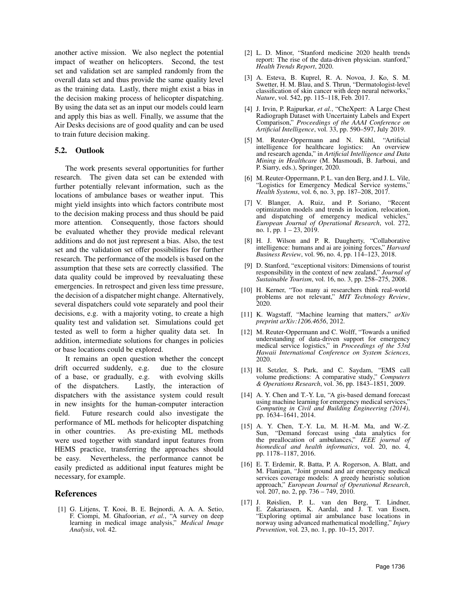another active mission. We also neglect the potential impact of weather on helicopters. Second, the test set and validation set are sampled randomly from the overall data set and thus provide the same quality level as the training data. Lastly, there might exist a bias in the decision making process of helicopter dispatching. By using the data set as an input our models could learn and apply this bias as well. Finally, we assume that the Air Desks decisions are of good quality and can be used to train future decision making.

### 5.2. Outlook

The work presents several opportunities for further research. The given data set can be extended with further potentially relevant information, such as the locations of ambulance bases or weather input. This might yield insights into which factors contribute most to the decision making process and thus should be paid more attention. Consequently, those factors should be evaluated whether they provide medical relevant additions and do not just represent a bias. Also, the test set and the validation set offer possibilities for further research. The performance of the models is based on the assumption that these sets are correctly classified. The data quality could be improved by reevaluating these emergencies. In retrospect and given less time pressure, the decision of a dispatcher might change. Alternatively, several dispatchers could vote separately and pool their decisions, e.g. with a majority voting, to create a high quality test and validation set. Simulations could get tested as well to form a higher quality data set. In addition, intermediate solutions for changes in policies or base locations could be explored.

It remains an open question whether the concept drift occurred suddenly, e.g. due to the closure of a base, or gradually, e.g. with evolving skills of the dispatchers. Lastly, the interaction of dispatchers with the assistance system could result in new insights for the human-computer interaction field. Future research could also investigate the performance of ML methods for helicopter dispatching in other countries. As pre-existing ML methods were used together with standard input features from HEMS practice, transferring the approaches should be easy. Nevertheless, the performance cannot be easily predicted as additional input features might be necessary, for example.

### **References**

[1] G. Litjens, T. Kooi, B. E. Bejnordi, A. A. A. Setio, F. Ciompi, M. Ghafoorian, *et al.*, "A survey on deep learning in medical image analysis," *Medical Image Analysis*, vol. 42.

- [2] L. D. Minor, "Stanford medicine 2020 health trends report: The rise of the data-driven physician. stanford," *Health Trends Report*, 2020.
- [3] A. Esteva, B. Kuprel, R. A. Novoa, J. Ko, S. M. Swetter, H. M. Blau, and S. Thrun, "Dermatologist-level classification of skin cancer with deep neural networks," *Nature*, vol. 542, pp. 115–118, Feb. 2017.
- [4] J. Irvin, P. Rajpurkar, *et al.*, "CheXpert: A Large Chest Radiograph Dataset with Uncertainty Labels and Expert Comparison," *Proceedings of the AAAI Conference on Artificial Intelligence*, vol. 33, pp. 590–597, July 2019.
- [5] M. Reuter-Oppermann and N. Kühl, "Artificial intelligence for healthcare logistics: An overview and research agenda," in *Artificial Intelligence and Data Mining in Healthcare* (M. Masmoudi, B. Jarboui, and P. Siarry, eds.), Springer, 2020.
- [6] M. Reuter-Oppermann, P. L. van den Berg, and J. L. Vile, "Logistics for Emergency Medical Service systems," *Health Systems*, vol. 6, no. 3, pp. 187–208, 2017.
- [7] V. Blanger, A. Ruiz, and P. Soriano, "Recent optimization models and trends in location, relocation, and dispatching of emergency medical vehicles," *European Journal of Operational Research*, vol. 272, no. 1, pp. 1 – 23, 2019.
- [8] H. J. Wilson and P. R. Daugherty, "Collaborative intelligence: humans and ai are joining forces," *Harvard Business Review*, vol. 96, no. 4, pp. 114–123, 2018.
- [9] D. Stanford, "exceptional visitors: Dimensions of tourist responsibility in the context of new zealand," *Journal of Sustainable Tourism*, vol. 16, no. 3, pp. 258–275, 2008.
- [10] H. Kerner, "Too many ai researchers think real-world problems are not relevant," *MIT Technology Review*, 2020.
- [11] K. Wagstaff, "Machine learning that matters," *arXiv preprint arXiv:1206.4656*, 2012.
- [12] M. Reuter-Oppermann and C. Wolff, "Towards a unified understanding of data-driven support for emergency medical service logistics," in *Proceedings of the 53rd Hawaii International Conference on System Sciences*, 2020.
- [13] H. Setzler, S. Park, and C. Saydam, "EMS call volume predictions: A comparative study," *Computers & Operations Research*, vol. 36, pp. 1843–1851, 2009.
- [14] A. Y. Chen and T.-Y. Lu, "A gis-based demand forecast using machine learning for emergency medical services," *Computing in Civil and Building Engineering (2014)*, pp. 1634–1641, 2014.
- [15] A. Y. Chen, T.-Y. Lu, M. H.-M. Ma, and W.-Z. Sun, "Demand forecast using data analytics for the preallocation of ambulances," *IEEE journal of* biomedical and health informatics, vol. 20, no. 4, pp. 1178–1187, 2016.
- [16] E. T. Erdemir, R. Batta, P. A. Rogerson, A. Blatt, and M. Flanigan, "Joint ground and air emergency medical services coverage models: A greedy heuristic solution approach," *European Journal of Operational Research*, vol. 207, no. 2, pp. 736 – 749, 2010.
- [17] J. Røislien, P. L. van den Berg, T. Lindner, E. Zakariassen, K. Aardal, and J. T. van Essen, "Exploring optimal air ambulance base locations in norway using advanced mathematical modelling," *Injury Prevention*, vol. 23, no. 1, pp. 10–15, 2017.